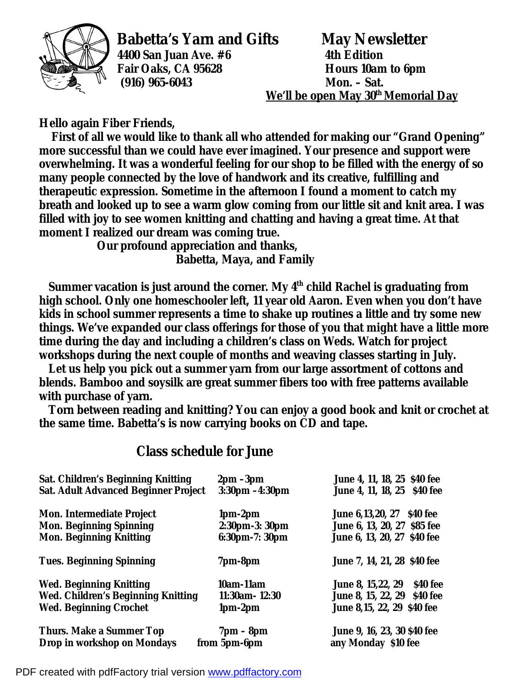

**4400 San Juan Ave. #6 4th Edition (916) 965-6043** 

**Babetta's Yarn and Gifts May Newsletter Fair Oaks, CA 95628 Hours 10am to 6pm We'll be open May 30th Memorial Day**

**Hello again Fiber Friends,** 

 **First of all we would like to thank all who attended for making our "Grand Opening" more successful than we could have ever imagined. Your presence and support were overwhelming. It was a wonderful feeling for our shop to be filled with the energy of so many people connected by the love of handwork and its creative, fulfilling and therapeutic expression. Sometime in the afternoon I found a moment to catch my breath and looked up to see a warm glow coming from our little sit and knit area. I was filled with joy to see women knitting and chatting and having a great time. At that moment I realized our dream was coming true.** 

 **Our profound appreciation and thanks, Babetta, Maya, and Family** 

 **Summer vacation is just around the corner. My 4th child Rachel is graduating from high school. Only one homeschooler left, 11 year old Aaron. Even when you don't have kids in school summer represents a time to shake up routines a little and try some new things. We've expanded our class offerings for those of you that might have a little more time during the day and including a children's class on Weds. Watch for project workshops during the next couple of months and weaving classes starting in July.** 

 **Let us help you pick out a summer yarn from our large assortment of cottons and blends. Bamboo and soysilk are great summer fibers too with free patterns available with purchase of yarn.** 

 **Torn between reading and knitting? You can enjoy a good book and knit or crochet at the same time. Babetta's is now carrying books on CD and tape.** 

## **Class schedule for June**

| <b>Sat. Children's Beginning Knitting</b>   | $2 \text{pm} - 3 \text{pm}$ | June 4, 11, 18, 25 \$40 fee           |
|---------------------------------------------|-----------------------------|---------------------------------------|
| <b>Sat. Adult Advanced Beginner Project</b> | $3:30pm - 4:30pm$           | June 4, 11, 18, 25 \$40 fee           |
| <b>Mon. Intermediate Project</b>            | $1pm-2pm$                   | June 6,13,20, 27 \$40 fee             |
| <b>Mon. Beginning Spinning</b>              | 2:30pm-3: 30pm              | June 6, 13, 20, 27 \$85 fee           |
| <b>Mon. Beginning Knitting</b>              | 6:30pm-7: 30pm              | June 6, 13, 20, 27 \$40 fee           |
| <b>Tues. Beginning Spinning</b>             | 7pm-8pm                     | June 7, 14, 21, 28 \$40 fee           |
| <b>Wed. Beginning Knitting</b>              | 10am-11am                   | \$40 fee<br><b>June 8, 15,22, 29</b>  |
| <b>Wed. Children's Beginning Knitting</b>   | $11:30$ am - $12:30$        | <b>June 8, 15, 22, 29</b><br>\$40 fee |
| <b>Wed. Beginning Crochet</b>               | $1pm-2pm$                   | June 8,15, 22, 29 \$40 fee            |
| <b>Thurs. Make a Summer Top</b>             | $7 \text{pm} - 8 \text{pm}$ | June 9, 16, 23, 30 \$40 fee           |
| Drop in workshop on Mondays<br>from 5pm-6pm |                             | any Monday \$10 fee                   |

PDF created with pdfFactory trial version [www.pdffactory.com](http://www.pdffactory.com)